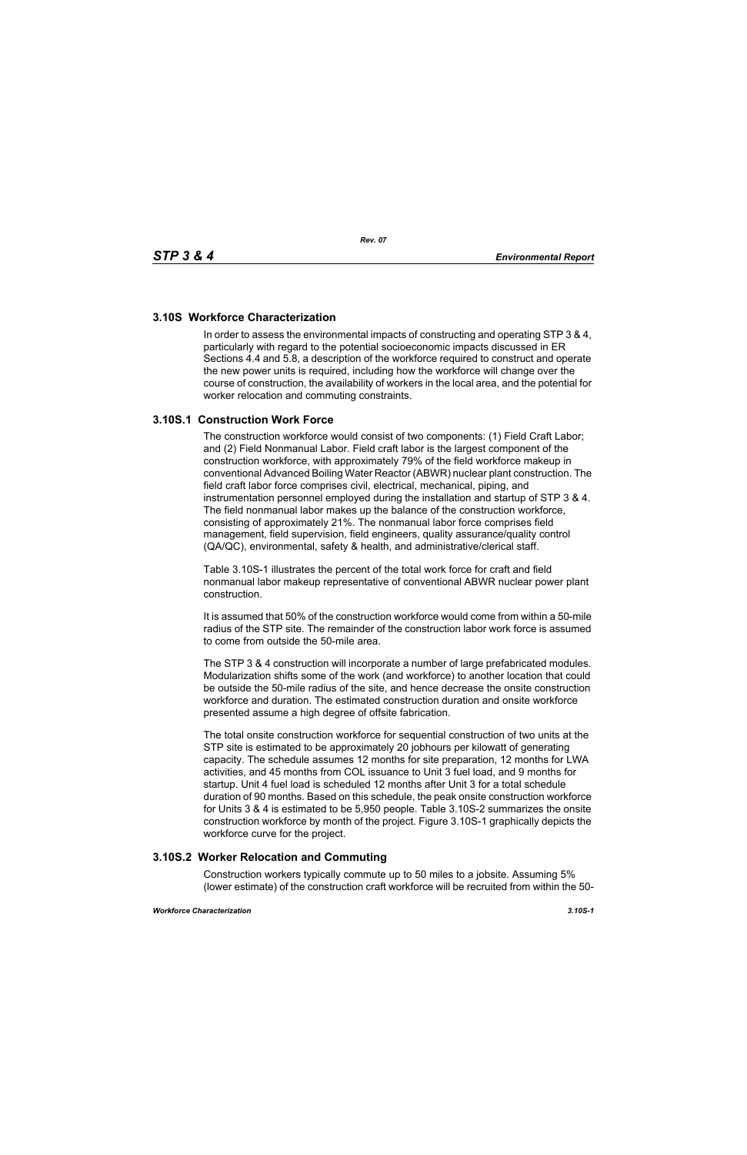# **3.10S Workforce Characterization**

In order to assess the environmental impacts of constructing and operating STP 3 & 4, particularly with regard to the potential socioeconomic impacts discussed in ER Sections 4.4 and 5.8, a description of the workforce required to construct and operate the new power units is required, including how the workforce will change over the course of construction, the availability of workers in the local area, and the potential for worker relocation and commuting constraints.

# **3.10S.1 Construction Work Force**

The construction workforce would consist of two components: (1) Field Craft Labor; and (2) Field Nonmanual Labor. Field craft labor is the largest component of the construction workforce, with approximately 79% of the field workforce makeup in conventional Advanced Boiling Water Reactor (ABWR) nuclear plant construction. The field craft labor force comprises civil, electrical, mechanical, piping, and instrumentation personnel employed during the installation and startup of STP 3 & 4. The field nonmanual labor makes up the balance of the construction workforce, consisting of approximately 21%. The nonmanual labor force comprises field management, field supervision, field engineers, quality assurance/quality control (QA/QC), environmental, safety & health, and administrative/clerical staff.

Table 3.10S-1 illustrates the percent of the total work force for craft and field nonmanual labor makeup representative of conventional ABWR nuclear power plant construction.

It is assumed that 50% of the construction workforce would come from within a 50-mile radius of the STP site. The remainder of the construction labor work force is assumed to come from outside the 50-mile area.

The STP 3 & 4 construction will incorporate a number of large prefabricated modules. Modularization shifts some of the work (and workforce) to another location that could be outside the 50-mile radius of the site, and hence decrease the onsite construction workforce and duration. The estimated construction duration and onsite workforce presented assume a high degree of offsite fabrication.

The total onsite construction workforce for sequential construction of two units at the STP site is estimated to be approximately 20 jobhours per kilowatt of generating capacity. The schedule assumes 12 months for site preparation, 12 months for LWA activities, and 45 months from COL issuance to Unit 3 fuel load, and 9 months for startup. Unit 4 fuel load is scheduled 12 months after Unit 3 for a total schedule duration of 90 months. Based on this schedule, the peak onsite construction workforce for Units 3 & 4 is estimated to be 5,950 people. Table 3.10S-2 summarizes the onsite construction workforce by month of the project. Figure 3.10S-1 graphically depicts the workforce curve for the project.

## **3.10S.2 Worker Relocation and Commuting**

Construction workers typically commute up to 50 miles to a jobsite. Assuming 5% (lower estimate) of the construction craft workforce will be recruited from within the 50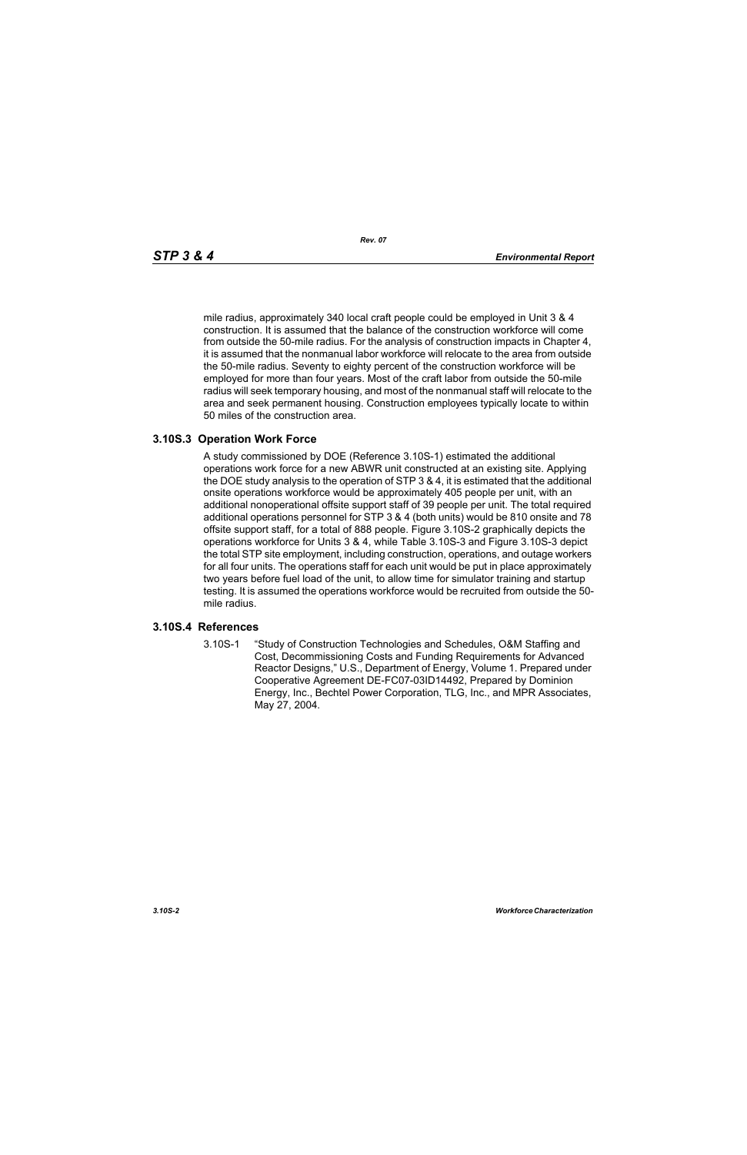mile radius, approximately 340 local craft people could be employed in Unit 3 & 4 construction. It is assumed that the balance of the construction workforce will come from outside the 50-mile radius. For the analysis of construction impacts in Chapter 4, it is assumed that the nonmanual labor workforce will relocate to the area from outside the 50-mile radius. Seventy to eighty percent of the construction workforce will be employed for more than four years. Most of the craft labor from outside the 50-mile radius will seek temporary housing, and most of the nonmanual staff will relocate to the area and seek permanent housing. Construction employees typically locate to within 50 miles of the construction area.

#### **3.10S.3 Operation Work Force**

A study commissioned by DOE (Reference 3.10S-1) estimated the additional operations work force for a new ABWR unit constructed at an existing site. Applying the DOE study analysis to the operation of STP 3 & 4, it is estimated that the additional onsite operations workforce would be approximately 405 people per unit, with an additional nonoperational offsite support staff of 39 people per unit. The total required additional operations personnel for STP 3 & 4 (both units) would be 810 onsite and 78 offsite support staff, for a total of 888 people. Figure 3.10S-2 graphically depicts the operations workforce for Units 3 & 4, while Table 3.10S-3 and Figure 3.10S-3 depict the total STP site employment, including construction, operations, and outage workers for all four units. The operations staff for each unit would be put in place approximately two years before fuel load of the unit, to allow time for simulator training and startup testing. It is assumed the operations workforce would be recruited from outside the 50 mile radius.

#### **3.10S.4 References**

3.10S-1 "Study of Construction Technologies and Schedules, O&M Staffing and Cost, Decommissioning Costs and Funding Requirements for Advanced Reactor Designs," U.S., Department of Energy, Volume 1. Prepared under Cooperative Agreement DE-FC07-03ID14492, Prepared by Dominion Energy, Inc., Bechtel Power Corporation, TLG, Inc., and MPR Associates, May 27, 2004.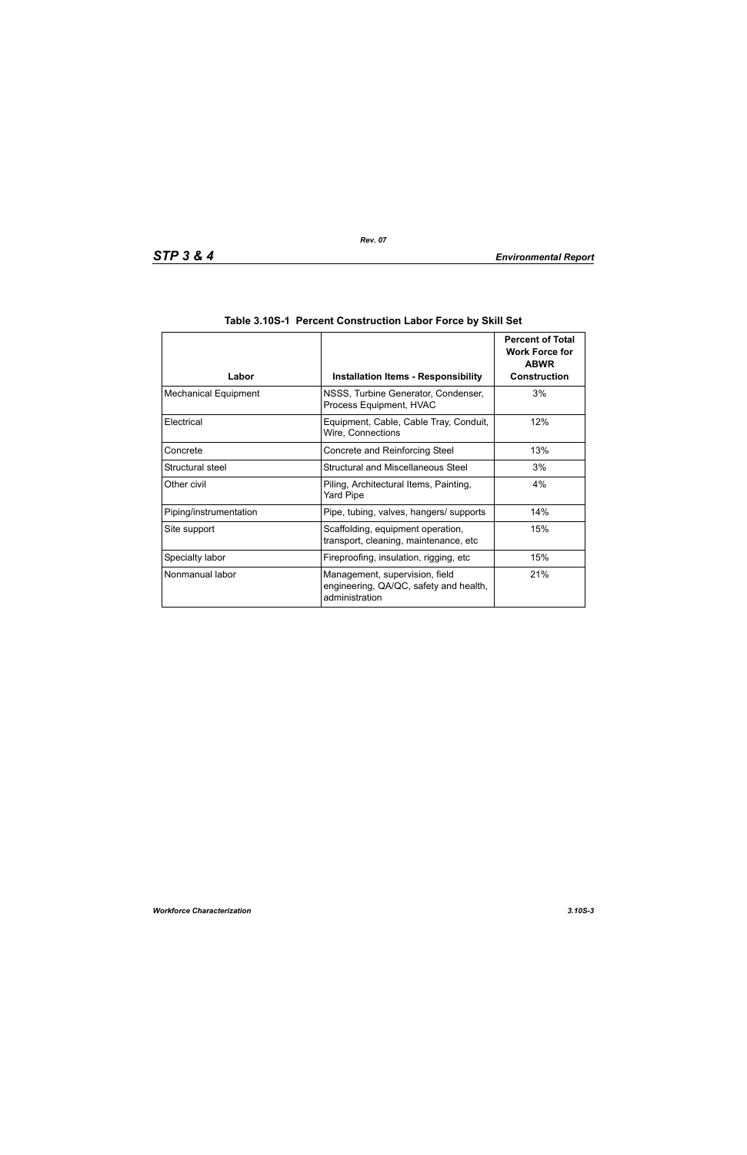| Labor                       | <b>Installation Items - Responsibility</b>                                                 | <b>Percent of Total</b><br><b>Work Force for</b><br><b>ABWR</b><br><b>Construction</b> |
|-----------------------------|--------------------------------------------------------------------------------------------|----------------------------------------------------------------------------------------|
| <b>Mechanical Equipment</b> | NSSS, Turbine Generator, Condenser,<br>Process Equipment, HVAC                             | 3%                                                                                     |
| Electrical                  | Equipment, Cable, Cable Tray, Conduit,<br>Wire, Connections                                | 12%                                                                                    |
| Concrete                    | Concrete and Reinforcing Steel                                                             | 13%                                                                                    |
| Structural steel            | Structural and Miscellaneous Steel                                                         | 3%                                                                                     |
| Other civil                 | Piling, Architectural Items, Painting,<br><b>Yard Pipe</b>                                 | 4%                                                                                     |
| Piping/instrumentation      | Pipe, tubing, valves, hangers/ supports                                                    | 14%                                                                                    |
| Site support                | Scaffolding, equipment operation,<br>transport, cleaning, maintenance, etc                 | 15%                                                                                    |
| Specialty labor             | Fireproofing, insulation, rigging, etc                                                     | 15%                                                                                    |
| Nonmanual labor             | Management, supervision, field<br>engineering, QA/QC, safety and health,<br>administration | 21%                                                                                    |

| Table 3.10S-1 Percent Construction Labor Force by Skill Set |  |  |  |  |
|-------------------------------------------------------------|--|--|--|--|
|                                                             |  |  |  |  |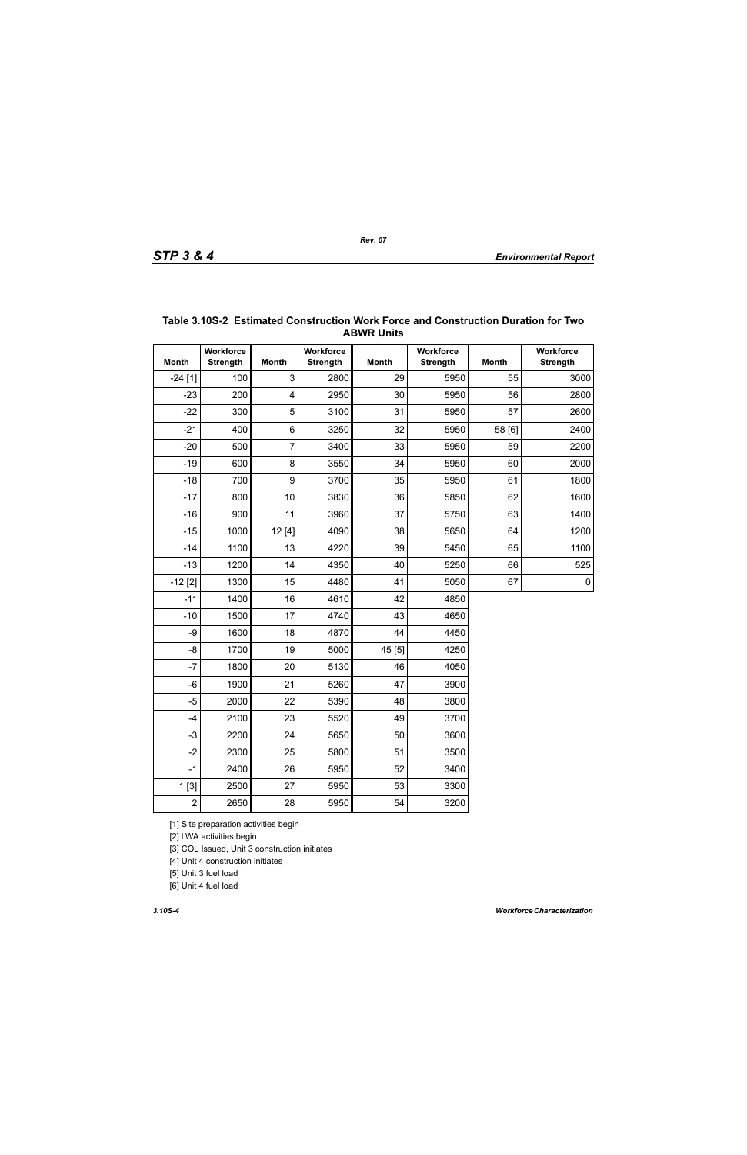|                | <b>ABWR UNITS</b>            |                         |                              |              |                              |              |                              |  |  |  |
|----------------|------------------------------|-------------------------|------------------------------|--------------|------------------------------|--------------|------------------------------|--|--|--|
| <b>Month</b>   | Workforce<br><b>Strength</b> | <b>Month</b>            | Workforce<br><b>Strength</b> | <b>Month</b> | Workforce<br><b>Strength</b> | <b>Month</b> | Workforce<br><b>Strength</b> |  |  |  |
| $-24[1]$       | 100                          | 3                       | 2800                         | 29           | 5950                         | 55           | 3000                         |  |  |  |
| $-23$          | 200                          | $\overline{\mathbf{4}}$ | 2950                         | 30           | 5950                         | 56           | 2800                         |  |  |  |
| $-22$          | 300                          | 5                       | 3100                         | 31           | 5950                         | 57           | 2600                         |  |  |  |
| $-21$          | 400                          | 6                       | 3250                         | 32           | 5950                         | 58 [6]       | 2400                         |  |  |  |
| $-20$          | 500                          | $\overline{7}$          | 3400                         | 33           | 5950                         | 59           | 2200                         |  |  |  |
| $-19$          | 600                          | 8                       | 3550                         | 34           | 5950                         | 60           | 2000                         |  |  |  |
| $-18$          | 700                          | 9                       | 3700                         | 35           | 5950                         | 61           | 1800                         |  |  |  |
| $-17$          | 800                          | 10                      | 3830                         | 36           | 5850                         | 62           | 1600                         |  |  |  |
| $-16$          | 900                          | 11                      | 3960                         | 37           | 5750                         | 63           | 1400                         |  |  |  |
| $-15$          | 1000                         | 12 [4]                  | 4090                         | 38           | 5650                         | 64           | 1200                         |  |  |  |
| $-14$          | 1100                         | 13                      | 4220                         | 39           | 5450                         | 65           | 1100                         |  |  |  |
| $-13$          | 1200                         | 14                      | 4350                         | 40           | 5250                         | 66           | 525                          |  |  |  |
| $-12$ [2]      | 1300                         | 15                      | 4480                         | 41           | 5050                         | 67           | $\pmb{0}$                    |  |  |  |
| $-11$          | 1400                         | 16                      | 4610                         | 42           | 4850                         |              |                              |  |  |  |
| $-10$          | 1500                         | 17                      | 4740                         | 43           | 4650                         |              |                              |  |  |  |
| -9             | 1600                         | 18                      | 4870                         | 44           | 4450                         |              |                              |  |  |  |
| $-8$           | 1700                         | 19                      | 5000                         | 45 [5]       | 4250                         |              |                              |  |  |  |
| $-7$           | 1800                         | 20                      | 5130                         | 46           | 4050                         |              |                              |  |  |  |
| $-6$           | 1900                         | 21                      | 5260                         | 47           | 3900                         |              |                              |  |  |  |
| $-5$           | 2000                         | 22                      | 5390                         | 48           | 3800                         |              |                              |  |  |  |
| $-4$           | 2100                         | 23                      | 5520                         | 49           | 3700                         |              |                              |  |  |  |
| $-3$           | 2200                         | 24                      | 5650                         | 50           | 3600                         |              |                              |  |  |  |
| $-2$           | 2300                         | 25                      | 5800                         | 51           | 3500                         |              |                              |  |  |  |
| $-1$           | 2400                         | 26                      | 5950                         | 52           | 3400                         |              |                              |  |  |  |
| 1[3]           | 2500                         | 27                      | 5950                         | 53           | 3300                         |              |                              |  |  |  |
| $\overline{2}$ | 2650                         | 28                      | 5950                         | 54           | 3200                         |              |                              |  |  |  |

#### **Table 3.10S-2 Estimated Construction Work Force and Construction Duration for Two ABWR Units**

[1] Site preparation activities begin

[2] LWA activities begin

[3] COL Issued, Unit 3 construction initiates

[4] Unit 4 construction initiates

[5] Unit 3 fuel load

[6] Unit 4 fuel load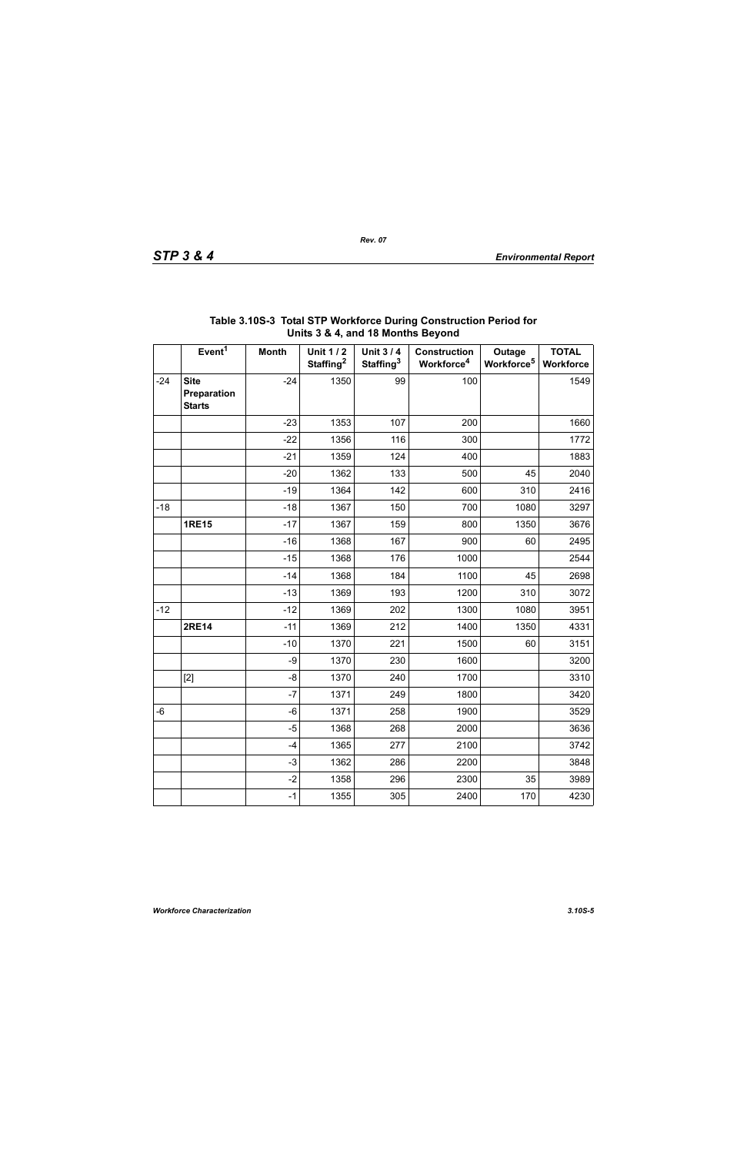|       | $3.4$ ; and to months boyond                |              |                                          |                                          |                                               |                                  |                           |  |
|-------|---------------------------------------------|--------------|------------------------------------------|------------------------------------------|-----------------------------------------------|----------------------------------|---------------------------|--|
|       | Event <sup>1</sup>                          | <b>Month</b> | <b>Unit 1/2</b><br>Staffing <sup>2</sup> | <b>Unit 3/4</b><br>Staffing <sup>3</sup> | <b>Construction</b><br>Workforce <sup>4</sup> | Outage<br>Workforce <sup>5</sup> | <b>TOTAL</b><br>Workforce |  |
| $-24$ | <b>Site</b><br>Preparation<br><b>Starts</b> | $-24$        | 1350                                     | 99                                       | 100                                           |                                  | 1549                      |  |
|       |                                             | $-23$        | 1353                                     | 107                                      | 200                                           |                                  | 1660                      |  |
|       |                                             | $-22$        | 1356                                     | 116                                      | 300                                           |                                  | 1772                      |  |
|       |                                             | $-21$        | 1359                                     | 124                                      | 400                                           |                                  | 1883                      |  |
|       |                                             | $-20$        | 1362                                     | 133                                      | 500                                           | 45                               | 2040                      |  |
|       |                                             | $-19$        | 1364                                     | 142                                      | 600                                           | 310                              | 2416                      |  |
| $-18$ |                                             | $-18$        | 1367                                     | 150                                      | 700                                           | 1080                             | 3297                      |  |
|       | <b>1RE15</b>                                | $-17$        | 1367                                     | 159                                      | 800                                           | 1350                             | 3676                      |  |
|       |                                             | $-16$        | 1368                                     | 167                                      | 900                                           | 60                               | 2495                      |  |
|       |                                             | $-15$        | 1368                                     | 176                                      | 1000                                          |                                  | 2544                      |  |
|       |                                             | $-14$        | 1368                                     | 184                                      | 1100                                          | 45                               | 2698                      |  |
|       |                                             | $-13$        | 1369                                     | 193                                      | 1200                                          | 310                              | 3072                      |  |
| $-12$ |                                             | $-12$        | 1369                                     | 202                                      | 1300                                          | 1080                             | 3951                      |  |
|       | <b>2RE14</b>                                | $-11$        | 1369                                     | 212                                      | 1400                                          | 1350                             | 4331                      |  |
|       |                                             | $-10$        | 1370                                     | 221                                      | 1500                                          | 60                               | 3151                      |  |
|       |                                             | -9           | 1370                                     | 230                                      | 1600                                          |                                  | 3200                      |  |
|       | $[2]$                                       | -8           | 1370                                     | 240                                      | 1700                                          |                                  | 3310                      |  |
|       |                                             | $-7$         | 1371                                     | 249                                      | 1800                                          |                                  | 3420                      |  |
| $-6$  |                                             | $-6$         | 1371                                     | 258                                      | 1900                                          |                                  | 3529                      |  |
|       |                                             | $-5$         | 1368                                     | 268                                      | 2000                                          |                                  | 3636                      |  |
|       |                                             | $-4$         | 1365                                     | 277                                      | 2100                                          |                                  | 3742                      |  |
|       |                                             | $-3$         | 1362                                     | 286                                      | 2200                                          |                                  | 3848                      |  |
|       |                                             | $-2$         | 1358                                     | 296                                      | 2300                                          | 35                               | 3989                      |  |
|       |                                             | $-1$         | 1355                                     | 305                                      | 2400                                          | 170                              | 4230                      |  |

## **Table 3.10S-3 Total STP Workforce During Construction Period for Units 3 & 4, and 18 Months Beyond**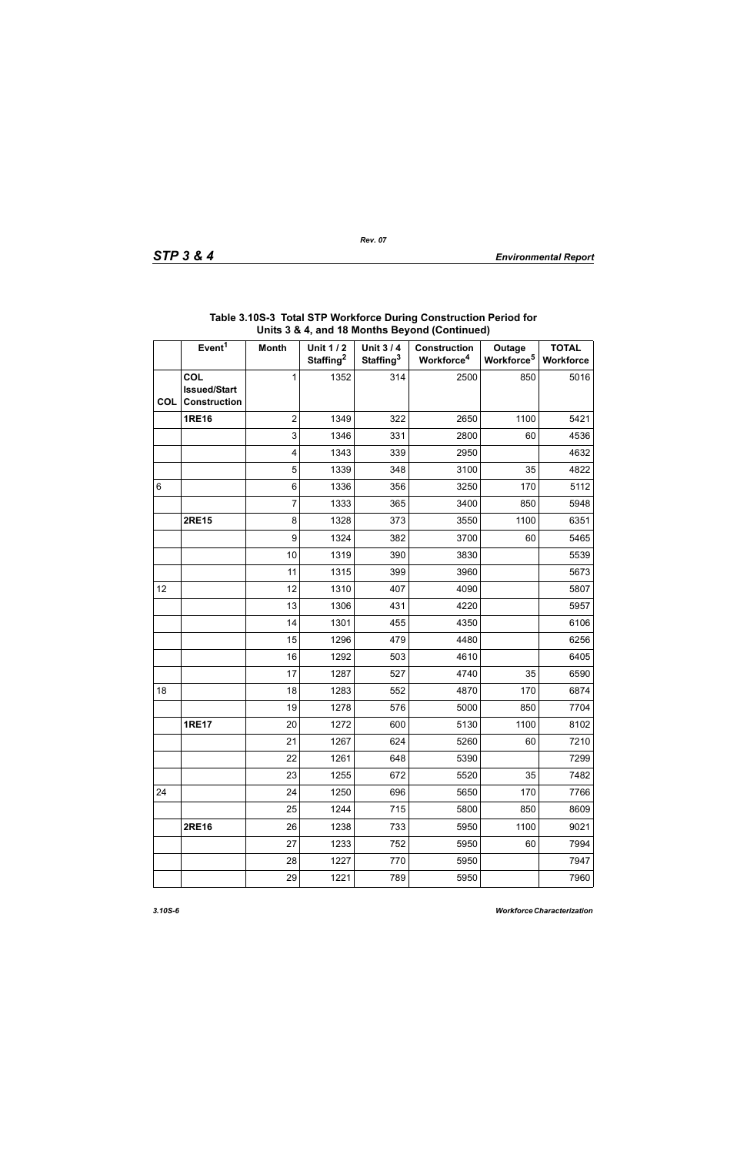|            | Event <sup>1</sup>                                       | <b>Month</b>            | <b>Unit 1/2</b><br>Staffing <sup>2</sup> | Unit 3/4<br>Staffing <sup>3</sup> | <b>Construction</b><br>Workforce <sup>4</sup> | Outage<br>Workforce <sup>5</sup> | <b>TOTAL</b><br>Workforce |
|------------|----------------------------------------------------------|-------------------------|------------------------------------------|-----------------------------------|-----------------------------------------------|----------------------------------|---------------------------|
| <b>COL</b> | <b>COL</b><br><b>Issued/Start</b><br><b>Construction</b> | 1                       | 1352                                     | 314                               | 2500                                          | 850                              | 5016                      |
|            | <b>1RE16</b>                                             | $\overline{2}$          | 1349                                     | 322                               | 2650                                          | 1100                             | 5421                      |
|            |                                                          | 3                       | 1346                                     | 331                               | 2800                                          | 60                               | 4536                      |
|            |                                                          | $\overline{\mathbf{4}}$ | 1343                                     | 339                               | 2950                                          |                                  | 4632                      |
|            |                                                          | 5                       | 1339                                     | 348                               | 3100                                          | 35                               | 4822                      |
| $\,6\,$    |                                                          | 6                       | 1336                                     | 356                               | 3250                                          | 170                              | 5112                      |
|            |                                                          | $\overline{7}$          | 1333                                     | 365                               | 3400                                          | 850                              | 5948                      |
|            | <b>2RE15</b>                                             | 8                       | 1328                                     | 373                               | 3550                                          | 1100                             | 6351                      |
|            |                                                          | 9                       | 1324                                     | 382                               | 3700                                          | 60                               | 5465                      |
|            |                                                          | 10                      | 1319                                     | 390                               | 3830                                          |                                  | 5539                      |
|            |                                                          | 11                      | 1315                                     | 399                               | 3960                                          |                                  | 5673                      |
| 12         |                                                          | 12                      | 1310                                     | 407                               | 4090                                          |                                  | 5807                      |
|            |                                                          | 13                      | 1306                                     | 431                               | 4220                                          |                                  | 5957                      |
|            |                                                          | 14                      | 1301                                     | 455                               | 4350                                          |                                  | 6106                      |
|            |                                                          | 15                      | 1296                                     | 479                               | 4480                                          |                                  | 6256                      |
|            |                                                          | 16                      | 1292                                     | 503                               | 4610                                          |                                  | 6405                      |
|            |                                                          | 17                      | 1287                                     | 527                               | 4740                                          | 35                               | 6590                      |
| 18         |                                                          | 18                      | 1283                                     | 552                               | 4870                                          | 170                              | 6874                      |
|            |                                                          | 19                      | 1278                                     | 576                               | 5000                                          | 850                              | 7704                      |
|            | <b>1RE17</b>                                             | 20                      | 1272                                     | 600                               | 5130                                          | 1100                             | 8102                      |
|            |                                                          | 21                      | 1267                                     | 624                               | 5260                                          | 60                               | 7210                      |
|            |                                                          | 22                      | 1261                                     | 648                               | 5390                                          |                                  | 7299                      |
|            |                                                          | 23                      | 1255                                     | 672                               | 5520                                          | 35                               | 7482                      |
| 24         |                                                          | 24                      | 1250                                     | 696                               | 5650                                          | 170                              | 7766                      |
|            |                                                          | 25                      | 1244                                     | 715                               | 5800                                          | 850                              | 8609                      |
|            | <b>2RE16</b>                                             | 26                      | 1238                                     | 733                               | 5950                                          | 1100                             | 9021                      |
|            |                                                          | 27                      | 1233                                     | 752                               | 5950                                          | 60                               | 7994                      |
|            |                                                          | 28                      | 1227                                     | 770                               | 5950                                          |                                  | 7947                      |
|            |                                                          | 29                      | 1221                                     | 789                               | 5950                                          |                                  | 7960                      |

#### **Table 3.10S-3 Total STP Workforce During Construction Period for Units 3 & 4, and 18 Months Beyond (Continued)**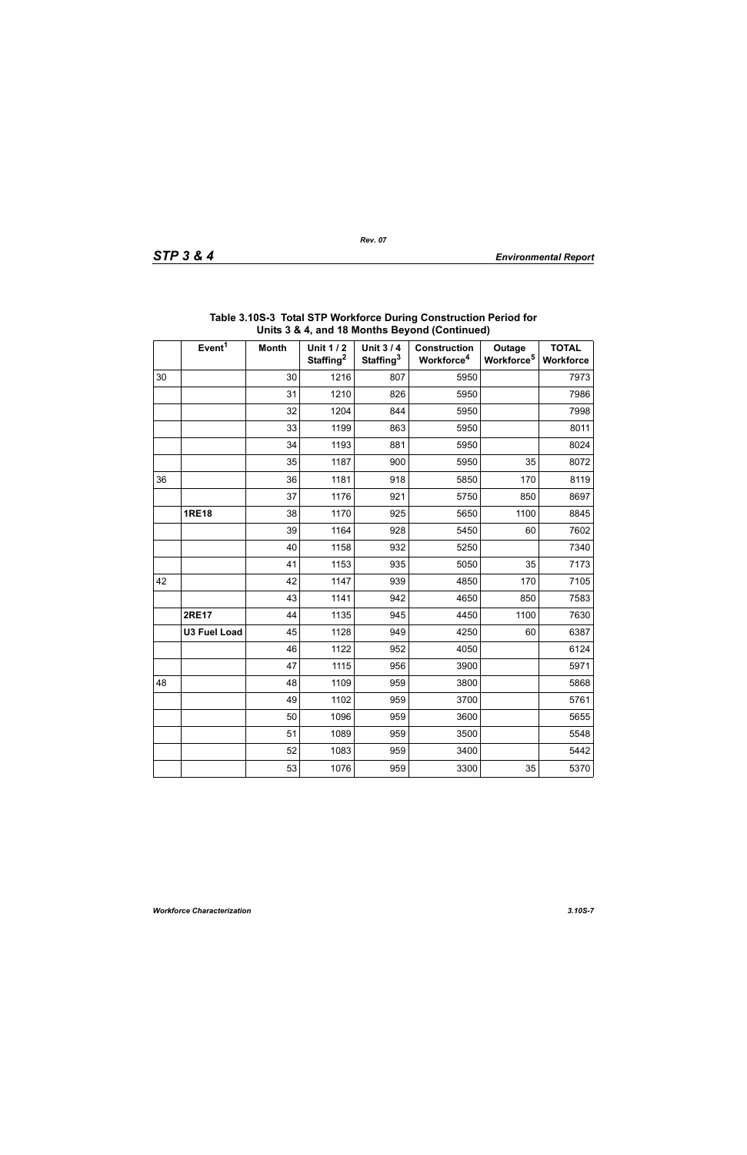| STP 3 & |  |  |  |  |
|---------|--|--|--|--|
|---------|--|--|--|--|

|    | Event <sup>1</sup>  | <b>Month</b> | <b>Unit 1/2</b><br>Staffing <sup>2</sup> | <b>Unit 3/4</b><br>Staffing <sup>3</sup> | <b>Construction</b><br>Workforce <sup>4</sup> | Outage<br>Workforce <sup>5</sup> | <b>TOTAL</b><br><b>Workforce</b> |
|----|---------------------|--------------|------------------------------------------|------------------------------------------|-----------------------------------------------|----------------------------------|----------------------------------|
| 30 |                     | 30           | 1216                                     | 807                                      | 5950                                          |                                  | 7973                             |
|    |                     | 31           | 1210                                     | 826                                      | 5950                                          |                                  | 7986                             |
|    |                     | 32           | 1204                                     | 844                                      | 5950                                          |                                  | 7998                             |
|    |                     | 33           | 1199                                     | 863                                      | 5950                                          |                                  | 8011                             |
|    |                     | 34           | 1193                                     | 881                                      | 5950                                          |                                  | 8024                             |
|    |                     | 35           | 1187                                     | 900                                      | 5950                                          | 35                               | 8072                             |
| 36 |                     | 36           | 1181                                     | 918                                      | 5850                                          | 170                              | 8119                             |
|    |                     | 37           | 1176                                     | 921                                      | 5750                                          | 850                              | 8697                             |
|    | <b>1RE18</b>        | 38           | 1170                                     | 925                                      | 5650                                          | 1100                             | 8845                             |
|    |                     | 39           | 1164                                     | 928                                      | 5450                                          | 60                               | 7602                             |
|    |                     | 40           | 1158                                     | 932                                      | 5250                                          |                                  | 7340                             |
|    |                     | 41           | 1153                                     | 935                                      | 5050                                          | 35                               | 7173                             |
| 42 |                     | 42           | 1147                                     | 939                                      | 4850                                          | 170                              | 7105                             |
|    |                     | 43           | 1141                                     | 942                                      | 4650                                          | 850                              | 7583                             |
|    | <b>2RE17</b>        | 44           | 1135                                     | 945                                      | 4450                                          | 1100                             | 7630                             |
|    | <b>U3 Fuel Load</b> | 45           | 1128                                     | 949                                      | 4250                                          | 60                               | 6387                             |
|    |                     | 46           | 1122                                     | 952                                      | 4050                                          |                                  | 6124                             |
|    |                     | 47           | 1115                                     | 956                                      | 3900                                          |                                  | 5971                             |
| 48 |                     | 48           | 1109                                     | 959                                      | 3800                                          |                                  | 5868                             |
|    |                     | 49           | 1102                                     | 959                                      | 3700                                          |                                  | 5761                             |
|    |                     | 50           | 1096                                     | 959                                      | 3600                                          |                                  | 5655                             |
|    |                     | 51           | 1089                                     | 959                                      | 3500                                          |                                  | 5548                             |
|    |                     | 52           | 1083                                     | 959                                      | 3400                                          |                                  | 5442                             |
|    |                     | 53           | 1076                                     | 959                                      | 3300                                          | 35                               | 5370                             |

| Table 3.10S-3 Total STP Workforce During Construction Period for |
|------------------------------------------------------------------|
| Units 3 & 4, and 18 Months Beyond (Continued)                    |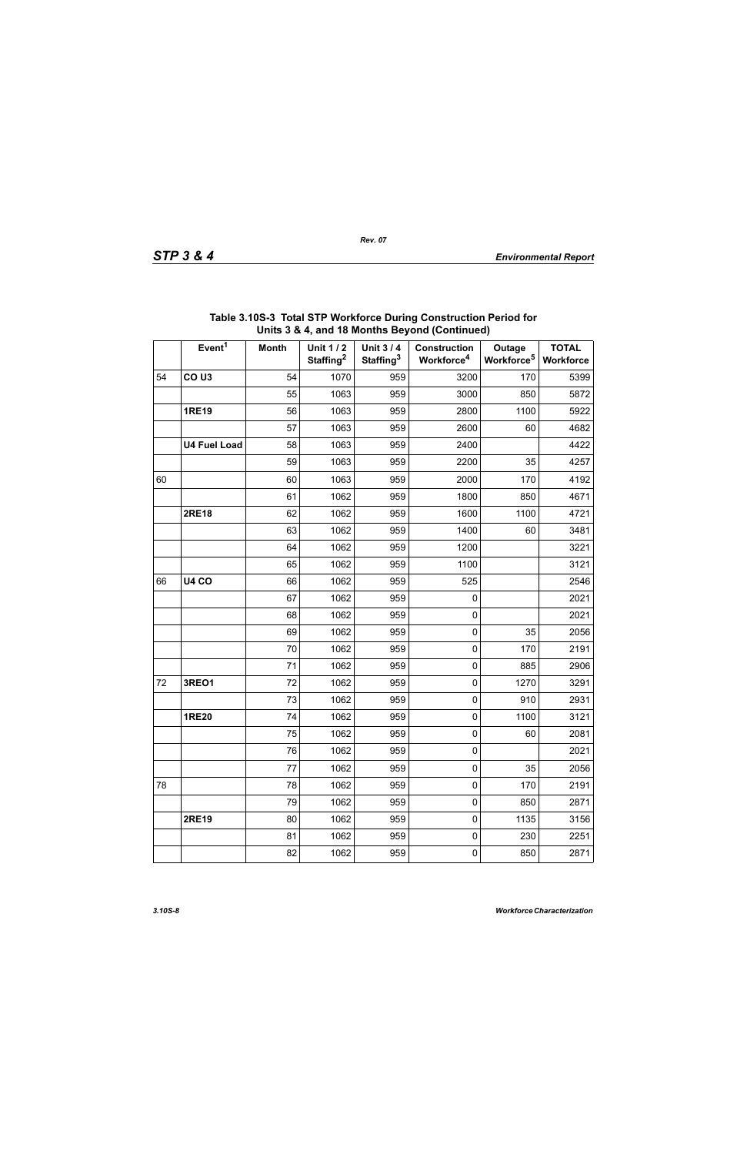|    | Event <sup>1</sup>  | <b>Month</b> | <b>Unit 1/2</b><br>Staffing <sup>2</sup> | Unit 3/4<br>Staffing <sup>3</sup> | <b>Construction</b><br>Workforce <sup>4</sup> | Outage<br>Workforce <sup>5</sup> | <b>TOTAL</b><br>Workforce |
|----|---------------------|--------------|------------------------------------------|-----------------------------------|-----------------------------------------------|----------------------------------|---------------------------|
| 54 | CO <sub>U3</sub>    | 54           | 1070                                     | 959                               | 3200                                          | 170                              | 5399                      |
|    |                     | 55           | 1063                                     | 959                               | 3000                                          | 850                              | 5872                      |
|    | <b>1RE19</b>        | 56           | 1063                                     | 959                               | 2800                                          | 1100                             | 5922                      |
|    |                     | 57           | 1063                                     | 959                               | 2600                                          | 60                               | 4682                      |
|    | <b>U4 Fuel Load</b> | 58           | 1063                                     | 959                               | 2400                                          |                                  | 4422                      |
|    |                     | 59           | 1063                                     | 959                               | 2200                                          | 35                               | 4257                      |
| 60 |                     | 60           | 1063                                     | 959                               | 2000                                          | 170                              | 4192                      |
|    |                     | 61           | 1062                                     | 959                               | 1800                                          | 850                              | 4671                      |
|    | <b>2RE18</b>        | 62           | 1062                                     | 959                               | 1600                                          | 1100                             | 4721                      |
|    |                     | 63           | 1062                                     | 959                               | 1400                                          | 60                               | 3481                      |
|    |                     | 64           | 1062                                     | 959                               | 1200                                          |                                  | 3221                      |
|    |                     | 65           | 1062                                     | 959                               | 1100                                          |                                  | 3121                      |
| 66 | <b>U4 CO</b>        | 66           | 1062                                     | 959                               | 525                                           |                                  | 2546                      |
|    |                     | 67           | 1062                                     | 959                               | 0                                             |                                  | 2021                      |
|    |                     | 68           | 1062                                     | 959                               | $\pmb{0}$                                     |                                  | 2021                      |
|    |                     | 69           | 1062                                     | 959                               | $\pmb{0}$                                     | 35                               | 2056                      |
|    |                     | 70           | 1062                                     | 959                               | $\pmb{0}$                                     | 170                              | 2191                      |
|    |                     | 71           | 1062                                     | 959                               | $\pmb{0}$                                     | 885                              | 2906                      |
| 72 | <b>3REO1</b>        | 72           | 1062                                     | 959                               | $\pmb{0}$                                     | 1270                             | 3291                      |
|    |                     | 73           | 1062                                     | 959                               | $\pmb{0}$                                     | 910                              | 2931                      |
|    | <b>1RE20</b>        | 74           | 1062                                     | 959                               | $\pmb{0}$                                     | 1100                             | 3121                      |
|    |                     | 75           | 1062                                     | 959                               | $\pmb{0}$                                     | 60                               | 2081                      |
|    |                     | 76           | 1062                                     | 959                               | $\pmb{0}$                                     |                                  | 2021                      |
|    |                     | 77           | 1062                                     | 959                               | $\pmb{0}$                                     | 35                               | 2056                      |
| 78 |                     | 78           | 1062                                     | 959                               | $\pmb{0}$                                     | 170                              | 2191                      |
|    |                     | 79           | 1062                                     | 959                               | $\pmb{0}$                                     | 850                              | 2871                      |
|    | <b>2RE19</b>        | 80           | 1062                                     | 959                               | $\mathsf 0$                                   | 1135                             | 3156                      |
|    |                     | 81           | 1062                                     | 959                               | $\pmb{0}$                                     | 230                              | 2251                      |
|    |                     | 82           | 1062                                     | 959                               | $\pmb{0}$                                     | 850                              | 2871                      |

#### **Table 3.10S-3 Total STP Workforce During Construction Period for Units 3 & 4, and 18 Months Beyond (Continued)**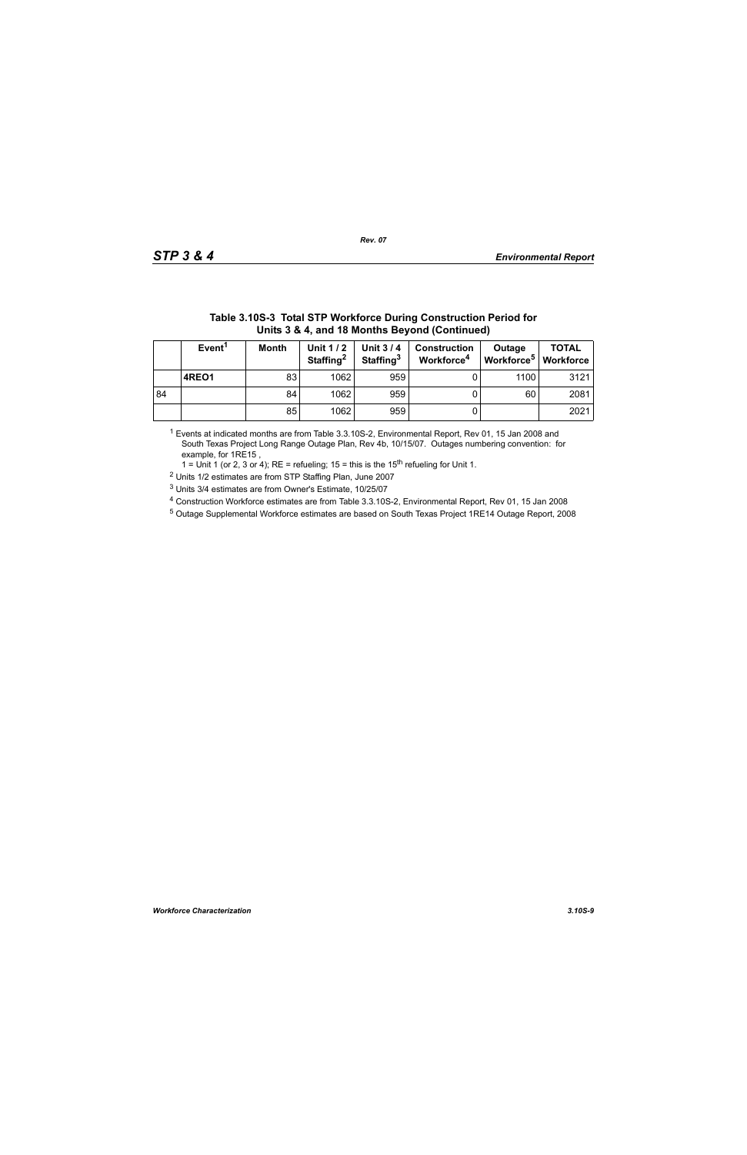|    | Units 3 & 4, and 18 Months Beyond (Continued) |              |                                   |                                          |                                               |                                  |                           |  |  |  |
|----|-----------------------------------------------|--------------|-----------------------------------|------------------------------------------|-----------------------------------------------|----------------------------------|---------------------------|--|--|--|
|    | Event <sup>1</sup>                            | <b>Month</b> | Unit 1/2<br>Staffing <sup>2</sup> | <b>Unit 3/4</b><br>Staffing <sup>3</sup> | <b>Construction</b><br>Workforce <sup>4</sup> | Outage<br>Workforce <sup>5</sup> | <b>TOTAL</b><br>Workforce |  |  |  |
|    | 4REO1                                         | 83           | 1062                              | 959                                      |                                               | 1100                             | 3121                      |  |  |  |
| 84 |                                               | 84           | 1062                              | 959                                      |                                               | 60                               | 2081                      |  |  |  |
|    |                                               | 85           | 1062                              | 959                                      |                                               |                                  | 2021                      |  |  |  |

# **Table 3.10S-3 Total STP Workforce During Construction Period for**

1 Events at indicated months are from Table 3.3.10S-2, Environmental Report, Rev 01, 15 Jan 2008 and South Texas Project Long Range Outage Plan, Rev 4b, 10/15/07. Outages numbering convention: for example, for 1RE15 ,

1 = Unit 1 (or 2, 3 or 4); RE = refueling; 15 = this is the  $15<sup>th</sup>$  refueling for Unit 1.

2 Units 1/2 estimates are from STP Staffing Plan, June 2007

3 Units 3/4 estimates are from Owner's Estimate, 10/25/07

4 Construction Workforce estimates are from Table 3.3.10S-2, Environmental Report, Rev 01, 15 Jan 2008

5 Outage Supplemental Workforce estimates are based on South Texas Project 1RE14 Outage Report, 2008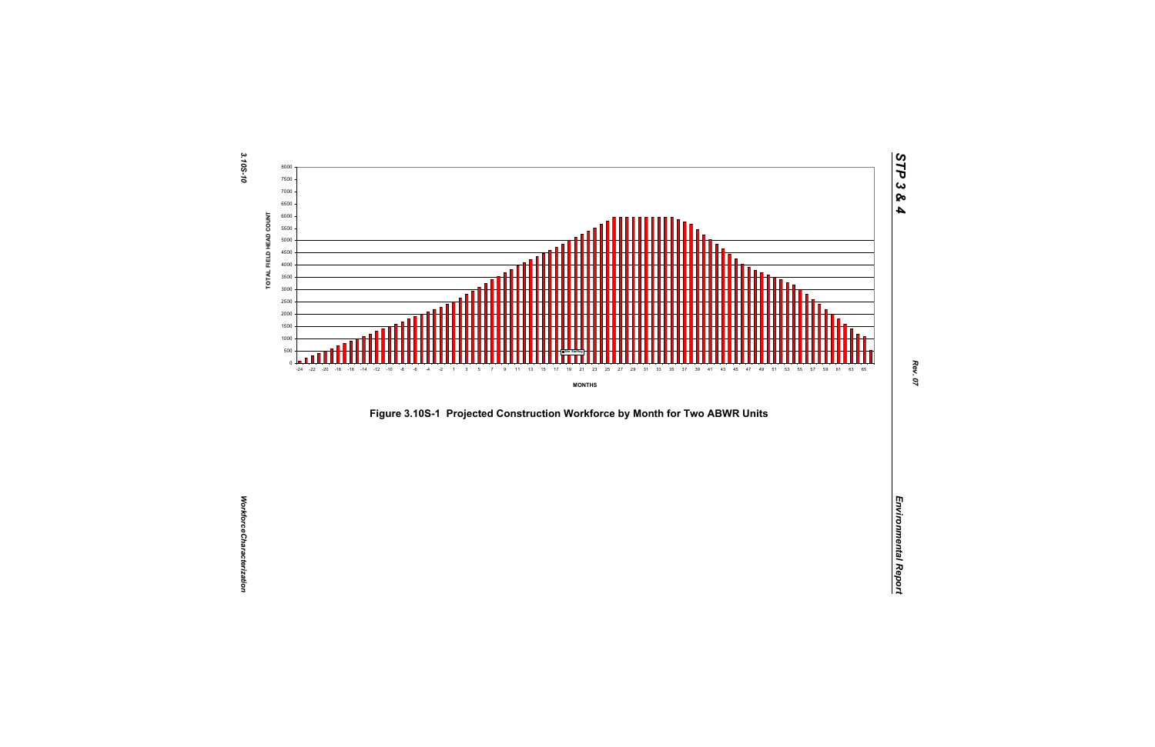



*STP 3 & 4*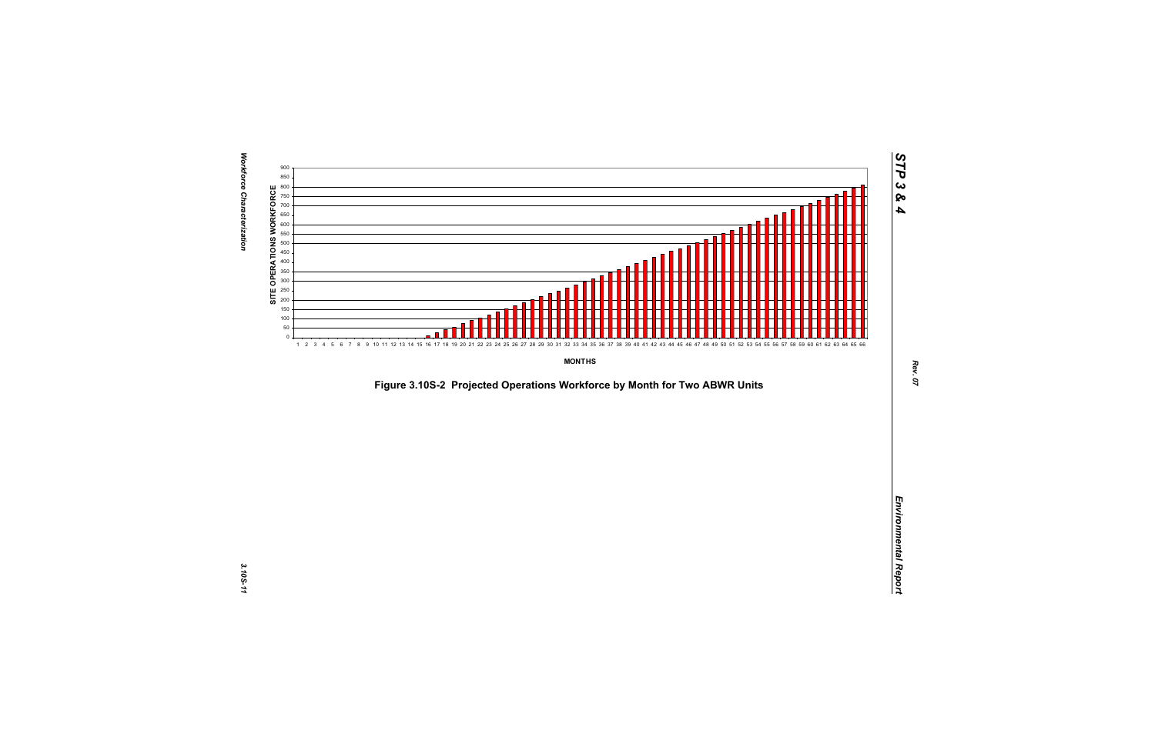

*Figure 3.10S-2 Projected Operations Workforce by Month for Two ABWR Units*<br>*Environmental Report*<br>Projected Operations Workforce by Month for Two ABWR Units<br>Projected Operations Workforce by Month for Two ABWR Units<br>Proje

*STP 3 & 4*